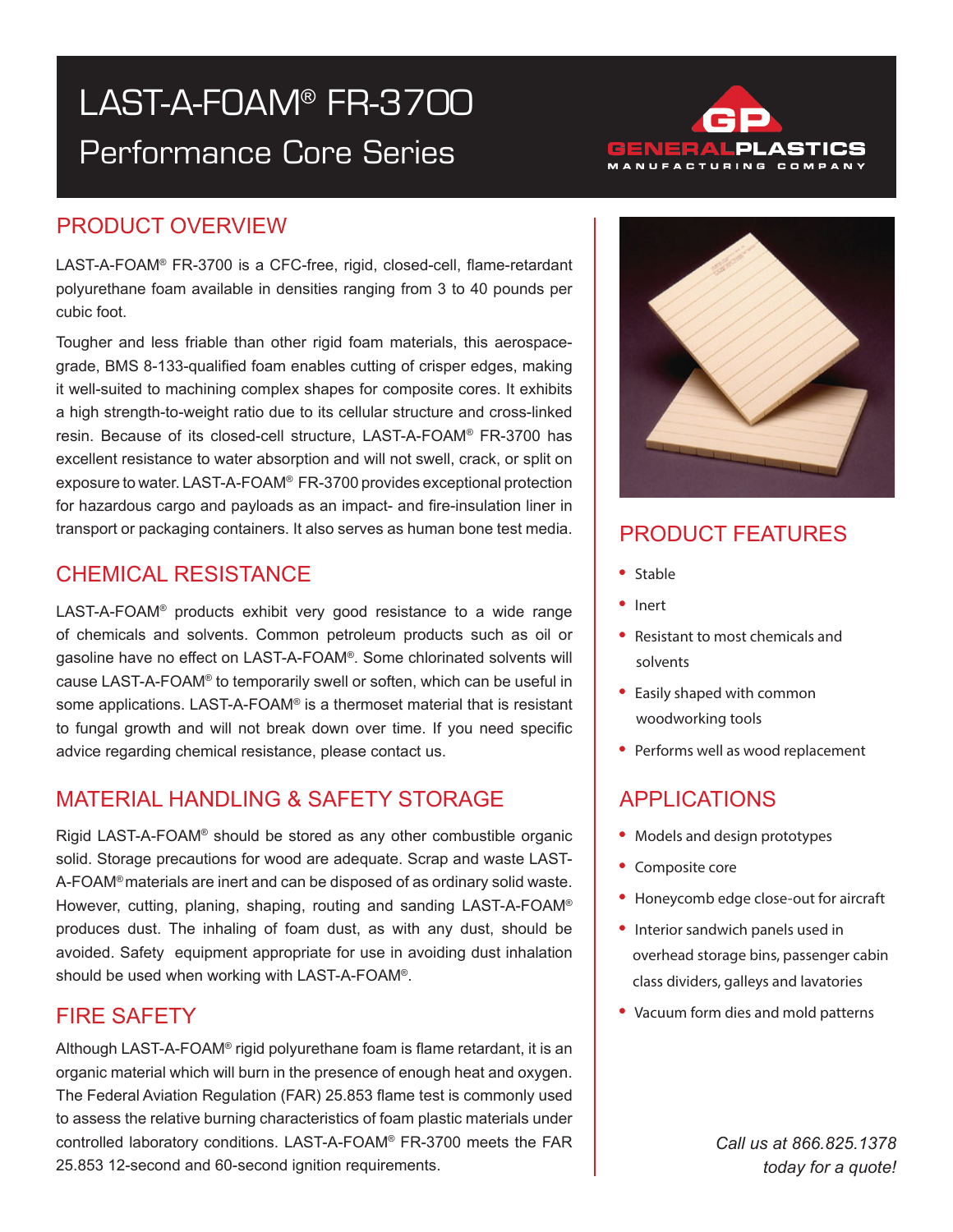# LAST-A-FOAM® FR-3700 Performance Core Series



### PRODUCT OVERVIEW

LAST-A-FOAM® FR-3700 is a CFC-free, rigid, closed-cell, flame-retardant polyurethane foam available in densities ranging from 3 to 40 pounds per cubic foot.

Tougher and less friable than other rigid foam materials, this aerospacegrade, BMS 8-133-qualified foam enables cutting of crisper edges, making it well-suited to machining complex shapes for composite cores. It exhibits a high strength-to-weight ratio due to its cellular structure and cross-linked resin. Because of its closed-cell structure, LAST-A-FOAM® FR-3700 has excellent resistance to water absorption and will not swell, crack, or split on exposure to water. LAST-A-FOAM® FR-3700 provides exceptional protection for hazardous cargo and payloads as an impact- and fire-insulation liner in transport or packaging containers. It also serves as human bone test media.

### CHEMICAL RESISTANCE

LAST-A-FOAM® products exhibit very good resistance to a wide range of chemicals and solvents. Common petroleum products such as oil or gasoline have no effect on LAST-A-FOAM®. Some chlorinated solvents will cause LAST-A-FOAM® to temporarily swell or soften, which can be useful in some applications. LAST-A-FOAM® is a thermoset material that is resistant to fungal growth and will not break down over time. If you need specific advice regarding chemical resistance, please contact us.

## MATERIAL HANDLING & SAFETY STORAGE APPLICATIONS

Rigid LAST-A-FOAM® should be stored as any other combustible organic solid. Storage precautions for wood are adequate. Scrap and waste LAST-A-FOAM® materials are inert and can be disposed of as ordinary solid waste. However, cutting, planing, shaping, routing and sanding LAST-A-FOAM® produces dust. The inhaling of foam dust, as with any dust, should be avoided. Safety equipment appropriate for use in avoiding dust inhalation should be used when working with LAST-A-FOAM®.

#### FIRE SAFETY

Although LAST-A-FOAM® rigid polyurethane foam is flame retardant, it is an organic material which will burn in the presence of enough heat and oxygen. The Federal Aviation Regulation (FAR) 25.853 flame test is commonly used to assess the relative burning characteristics of foam plastic materials under controlled laboratory conditions. LAST-A-FOAM® FR-3700 meets the FAR 25.853 12-second and 60-second ignition requirements.



# PRODUCT FEATURES

- Stable
- Inert
- Resistant to most chemicals and solvents
- Easily shaped with common woodworking tools
- Performs well as wood replacement

- Models and design prototypes
- Composite core
- Honeycomb edge close-out for aircraft
- Interior sandwich panels used in overhead storage bins, passenger cabin class dividers, galleys and lavatories
- Vacuum form dies and mold patterns

*Call us at 866.825.1378 today for a quote!*